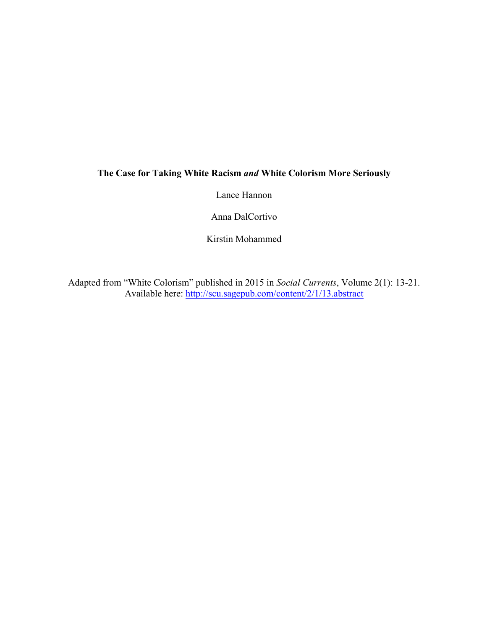# **The Case for Taking White Racism** *and* **White Colorism More Seriously**

Lance Hannon

Anna DalCortivo

Kirstin Mohammed

Adapted from "White Colorism" published in 2015 in *Social Currents*, Volume 2(1): 13-21. Available here:<http://scu.sagepub.com/content/2/1/13.abstract>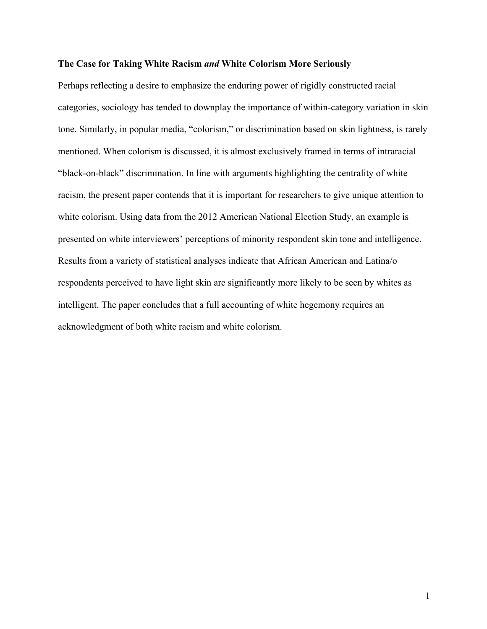#### **The Case for Taking White Racism** *and* **White Colorism More Seriously**

Perhaps reflecting a desire to emphasize the enduring power of rigidly constructed racial categories, sociology has tended to downplay the importance of within-category variation in skin tone. Similarly, in popular media, "colorism," or discrimination based on skin lightness, is rarely mentioned. When colorism is discussed, it is almost exclusively framed in terms of intraracial "black-on-black" discrimination. In line with arguments highlighting the centrality of white racism, the present paper contends that it is important for researchers to give unique attention to white colorism. Using data from the 2012 American National Election Study, an example is presented on white interviewers' perceptions of minority respondent skin tone and intelligence. Results from a variety of statistical analyses indicate that African American and Latina/o respondents perceived to have light skin are significantly more likely to be seen by whites as intelligent. The paper concludes that a full accounting of white hegemony requires an acknowledgment of both white racism and white colorism.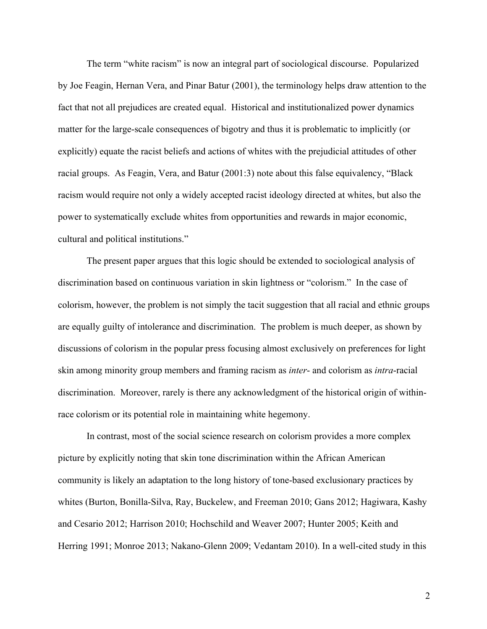The term "white racism" is now an integral part of sociological discourse. Popularized by Joe Feagin, Hernan Vera, and Pinar Batur (2001), the terminology helps draw attention to the fact that not all prejudices are created equal. Historical and institutionalized power dynamics matter for the large-scale consequences of bigotry and thus it is problematic to implicitly (or explicitly) equate the racist beliefs and actions of whites with the prejudicial attitudes of other racial groups. As Feagin, Vera, and Batur (2001:3) note about this false equivalency, "Black racism would require not only a widely accepted racist ideology directed at whites, but also the power to systematically exclude whites from opportunities and rewards in major economic, cultural and political institutions."

The present paper argues that this logic should be extended to sociological analysis of discrimination based on continuous variation in skin lightness or "colorism." In the case of colorism, however, the problem is not simply the tacit suggestion that all racial and ethnic groups are equally guilty of intolerance and discrimination. The problem is much deeper, as shown by discussions of colorism in the popular press focusing almost exclusively on preferences for light skin among minority group members and framing racism as *inter*- and colorism as *intra*-racial discrimination. Moreover, rarely is there any acknowledgment of the historical origin of withinrace colorism or its potential role in maintaining white hegemony.

In contrast, most of the social science research on colorism provides a more complex picture by explicitly noting that skin tone discrimination within the African American community is likely an adaptation to the long history of tone-based exclusionary practices by whites (Burton, Bonilla-Silva, Ray, Buckelew, and Freeman 2010; Gans 2012; Hagiwara, Kashy and Cesario 2012; Harrison 2010; Hochschild and Weaver 2007; Hunter 2005; Keith and Herring 1991; Monroe 2013; Nakano-Glenn 2009; Vedantam 2010). In a well-cited study in this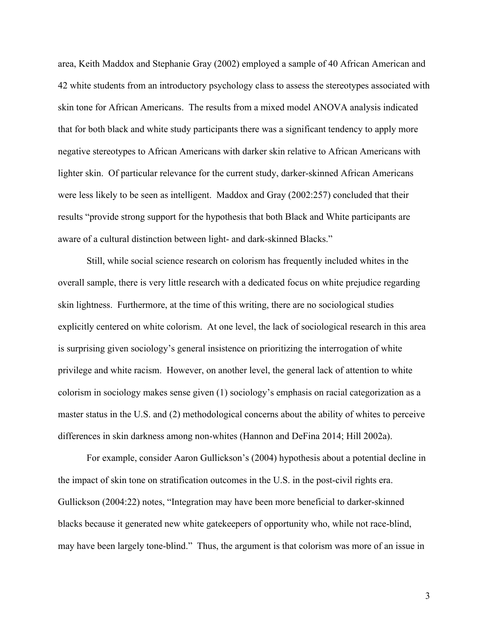area, Keith Maddox and Stephanie Gray (2002) employed a sample of 40 African American and 42 white students from an introductory psychology class to assess the stereotypes associated with skin tone for African Americans. The results from a mixed model ANOVA analysis indicated that for both black and white study participants there was a significant tendency to apply more negative stereotypes to African Americans with darker skin relative to African Americans with lighter skin. Of particular relevance for the current study, darker-skinned African Americans were less likely to be seen as intelligent. Maddox and Gray (2002:257) concluded that their results "provide strong support for the hypothesis that both Black and White participants are aware of a cultural distinction between light- and dark-skinned Blacks."

Still, while social science research on colorism has frequently included whites in the overall sample, there is very little research with a dedicated focus on white prejudice regarding skin lightness. Furthermore, at the time of this writing, there are no sociological studies explicitly centered on white colorism. At one level, the lack of sociological research in this area is surprising given sociology's general insistence on prioritizing the interrogation of white privilege and white racism. However, on another level, the general lack of attention to white colorism in sociology makes sense given (1) sociology's emphasis on racial categorization as a master status in the U.S. and (2) methodological concerns about the ability of whites to perceive differences in skin darkness among non-whites (Hannon and DeFina 2014; Hill 2002a).

For example, consider Aaron Gullickson's (2004) hypothesis about a potential decline in the impact of skin tone on stratification outcomes in the U.S. in the post-civil rights era. Gullickson (2004:22) notes, "Integration may have been more beneficial to darker-skinned blacks because it generated new white gatekeepers of opportunity who, while not race-blind, may have been largely tone-blind." Thus, the argument is that colorism was more of an issue in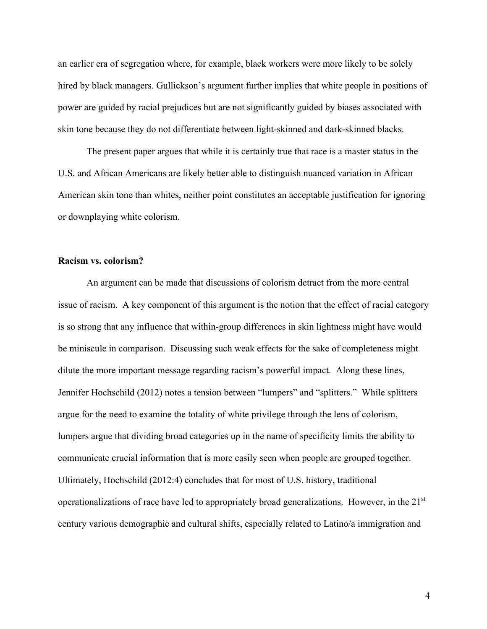an earlier era of segregation where, for example, black workers were more likely to be solely hired by black managers. Gullickson's argument further implies that white people in positions of power are guided by racial prejudices but are not significantly guided by biases associated with skin tone because they do not differentiate between light-skinned and dark-skinned blacks.

The present paper argues that while it is certainly true that race is a master status in the U.S. and African Americans are likely better able to distinguish nuanced variation in African American skin tone than whites, neither point constitutes an acceptable justification for ignoring or downplaying white colorism.

# **Racism vs. colorism?**

An argument can be made that discussions of colorism detract from the more central issue of racism. A key component of this argument is the notion that the effect of racial category is so strong that any influence that within-group differences in skin lightness might have would be miniscule in comparison. Discussing such weak effects for the sake of completeness might dilute the more important message regarding racism's powerful impact. Along these lines, Jennifer Hochschild (2012) notes a tension between "lumpers" and "splitters." While splitters argue for the need to examine the totality of white privilege through the lens of colorism, lumpers argue that dividing broad categories up in the name of specificity limits the ability to communicate crucial information that is more easily seen when people are grouped together. Ultimately, Hochschild (2012:4) concludes that for most of U.S. history, traditional operationalizations of race have led to appropriately broad generalizations. However, in the 21<sup>st</sup> century various demographic and cultural shifts, especially related to Latino/a immigration and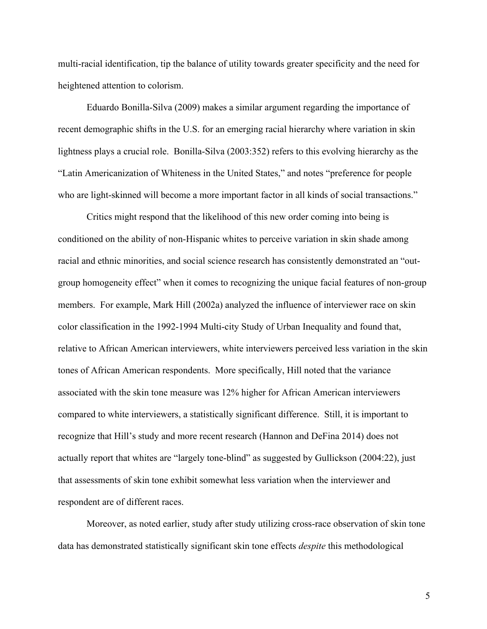multi-racial identification, tip the balance of utility towards greater specificity and the need for heightened attention to colorism.

Eduardo Bonilla-Silva (2009) makes a similar argument regarding the importance of recent demographic shifts in the U.S. for an emerging racial hierarchy where variation in skin lightness plays a crucial role. Bonilla-Silva (2003:352) refers to this evolving hierarchy as the "Latin Americanization of Whiteness in the United States," and notes "preference for people who are light-skinned will become a more important factor in all kinds of social transactions."

Critics might respond that the likelihood of this new order coming into being is conditioned on the ability of non-Hispanic whites to perceive variation in skin shade among racial and ethnic minorities, and social science research has consistently demonstrated an "outgroup homogeneity effect" when it comes to recognizing the unique facial features of non-group members. For example, Mark Hill (2002a) analyzed the influence of interviewer race on skin color classification in the 1992-1994 Multi-city Study of Urban Inequality and found that, relative to African American interviewers, white interviewers perceived less variation in the skin tones of African American respondents. More specifically, Hill noted that the variance associated with the skin tone measure was 12% higher for African American interviewers compared to white interviewers, a statistically significant difference. Still, it is important to recognize that Hill's study and more recent research (Hannon and DeFina 2014) does not actually report that whites are "largely tone-blind" as suggested by Gullickson (2004:22), just that assessments of skin tone exhibit somewhat less variation when the interviewer and respondent are of different races.

Moreover, as noted earlier, study after study utilizing cross-race observation of skin tone data has demonstrated statistically significant skin tone effects *despite* this methodological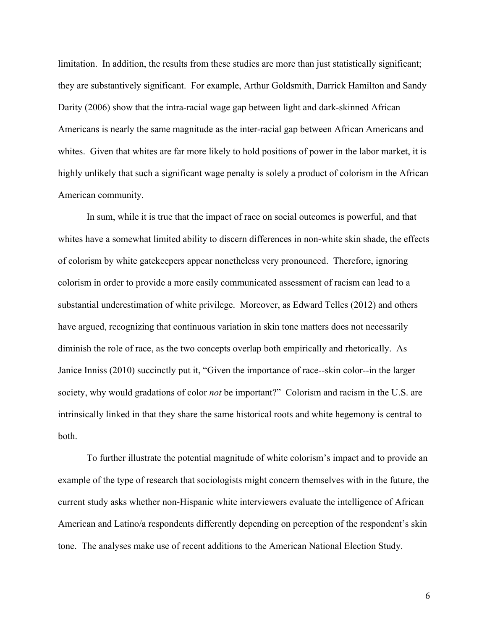limitation. In addition, the results from these studies are more than just statistically significant; they are substantively significant. For example, Arthur Goldsmith, Darrick Hamilton and Sandy Darity (2006) show that the intra-racial wage gap between light and dark-skinned African Americans is nearly the same magnitude as the inter-racial gap between African Americans and whites. Given that whites are far more likely to hold positions of power in the labor market, it is highly unlikely that such a significant wage penalty is solely a product of colorism in the African American community.

In sum, while it is true that the impact of race on social outcomes is powerful, and that whites have a somewhat limited ability to discern differences in non-white skin shade, the effects of colorism by white gatekeepers appear nonetheless very pronounced. Therefore, ignoring colorism in order to provide a more easily communicated assessment of racism can lead to a substantial underestimation of white privilege. Moreover, as Edward Telles (2012) and others have argued, recognizing that continuous variation in skin tone matters does not necessarily diminish the role of race, as the two concepts overlap both empirically and rhetorically. As Janice Inniss (2010) succinctly put it, "Given the importance of race--skin color--in the larger society, why would gradations of color *not* be important?" Colorism and racism in the U.S. are intrinsically linked in that they share the same historical roots and white hegemony is central to both.

To further illustrate the potential magnitude of white colorism's impact and to provide an example of the type of research that sociologists might concern themselves with in the future, the current study asks whether non-Hispanic white interviewers evaluate the intelligence of African American and Latino/a respondents differently depending on perception of the respondent's skin tone. The analyses make use of recent additions to the American National Election Study.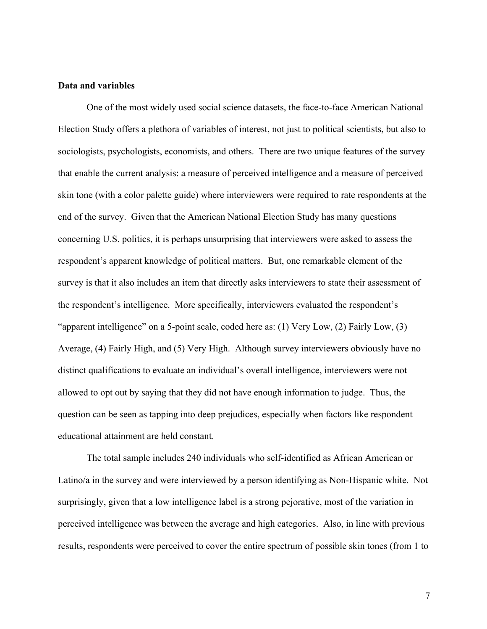## **Data and variables**

One of the most widely used social science datasets, the face-to-face American National Election Study offers a plethora of variables of interest, not just to political scientists, but also to sociologists, psychologists, economists, and others. There are two unique features of the survey that enable the current analysis: a measure of perceived intelligence and a measure of perceived skin tone (with a color palette guide) where interviewers were required to rate respondents at the end of the survey. Given that the American National Election Study has many questions concerning U.S. politics, it is perhaps unsurprising that interviewers were asked to assess the respondent's apparent knowledge of political matters. But, one remarkable element of the survey is that it also includes an item that directly asks interviewers to state their assessment of the respondent's intelligence. More specifically, interviewers evaluated the respondent's "apparent intelligence" on a 5-point scale, coded here as: (1) Very Low, (2) Fairly Low, (3) Average, (4) Fairly High, and (5) Very High. Although survey interviewers obviously have no distinct qualifications to evaluate an individual's overall intelligence, interviewers were not allowed to opt out by saying that they did not have enough information to judge. Thus, the question can be seen as tapping into deep prejudices, especially when factors like respondent educational attainment are held constant.

The total sample includes 240 individuals who self-identified as African American or Latino/a in the survey and were interviewed by a person identifying as Non-Hispanic white. Not surprisingly, given that a low intelligence label is a strong pejorative, most of the variation in perceived intelligence was between the average and high categories. Also, in line with previous results, respondents were perceived to cover the entire spectrum of possible skin tones (from 1 to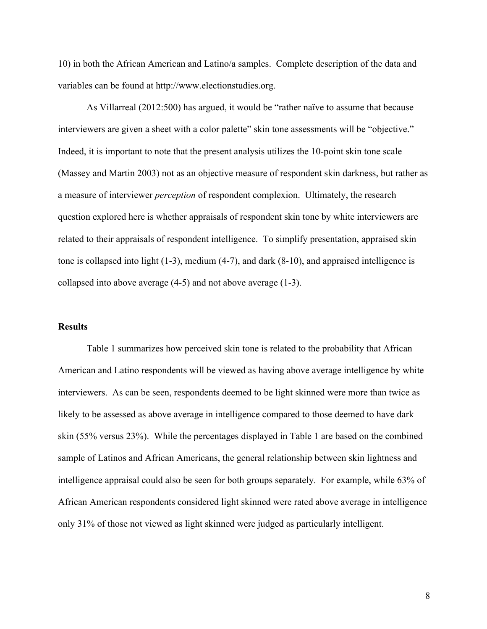10) in both the African American and Latino/a samples. Complete description of the data and variables can be found at http://www.electionstudies.org.

As Villarreal (2012:500) has argued, it would be "rather naïve to assume that because interviewers are given a sheet with a color palette" skin tone assessments will be "objective." Indeed, it is important to note that the present analysis utilizes the 10-point skin tone scale (Massey and Martin 2003) not as an objective measure of respondent skin darkness, but rather as a measure of interviewer *perception* of respondent complexion. Ultimately, the research question explored here is whether appraisals of respondent skin tone by white interviewers are related to their appraisals of respondent intelligence. To simplify presentation, appraised skin tone is collapsed into light (1-3), medium (4-7), and dark (8-10), and appraised intelligence is collapsed into above average (4-5) and not above average (1-3).

### **Results**

Table 1 summarizes how perceived skin tone is related to the probability that African American and Latino respondents will be viewed as having above average intelligence by white interviewers. As can be seen, respondents deemed to be light skinned were more than twice as likely to be assessed as above average in intelligence compared to those deemed to have dark skin (55% versus 23%). While the percentages displayed in Table 1 are based on the combined sample of Latinos and African Americans, the general relationship between skin lightness and intelligence appraisal could also be seen for both groups separately. For example, while 63% of African American respondents considered light skinned were rated above average in intelligence only 31% of those not viewed as light skinned were judged as particularly intelligent.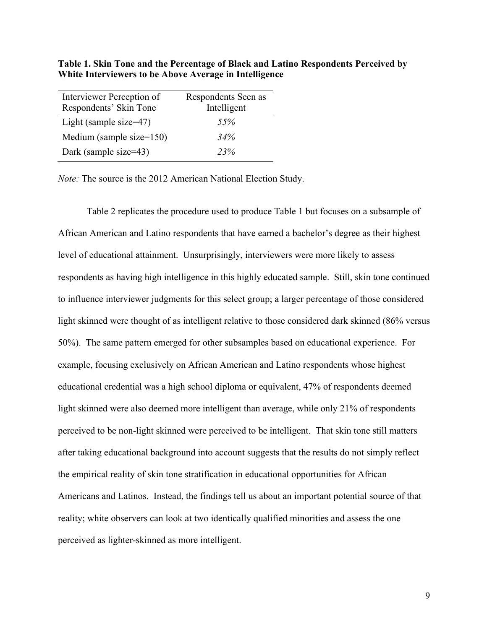| Interviewer Perception of<br>Respondents' Skin Tone | Respondents Seen as<br>Intelligent |
|-----------------------------------------------------|------------------------------------|
| Light (sample size= $47$ )                          | 55%                                |
| Medium (sample size= $150$ )                        | 34%                                |
| Dark (sample size=43)                               | 23%                                |

**Table 1. Skin Tone and the Percentage of Black and Latino Respondents Perceived by White Interviewers to be Above Average in Intelligence**

*Note:* The source is the 2012 American National Election Study.

Table 2 replicates the procedure used to produce Table 1 but focuses on a subsample of African American and Latino respondents that have earned a bachelor's degree as their highest level of educational attainment. Unsurprisingly, interviewers were more likely to assess respondents as having high intelligence in this highly educated sample. Still, skin tone continued to influence interviewer judgments for this select group; a larger percentage of those considered light skinned were thought of as intelligent relative to those considered dark skinned (86% versus 50%). The same pattern emerged for other subsamples based on educational experience. For example, focusing exclusively on African American and Latino respondents whose highest educational credential was a high school diploma or equivalent, 47% of respondents deemed light skinned were also deemed more intelligent than average, while only 21% of respondents perceived to be non-light skinned were perceived to be intelligent. That skin tone still matters after taking educational background into account suggests that the results do not simply reflect the empirical reality of skin tone stratification in educational opportunities for African Americans and Latinos. Instead, the findings tell us about an important potential source of that reality; white observers can look at two identically qualified minorities and assess the one perceived as lighter-skinned as more intelligent.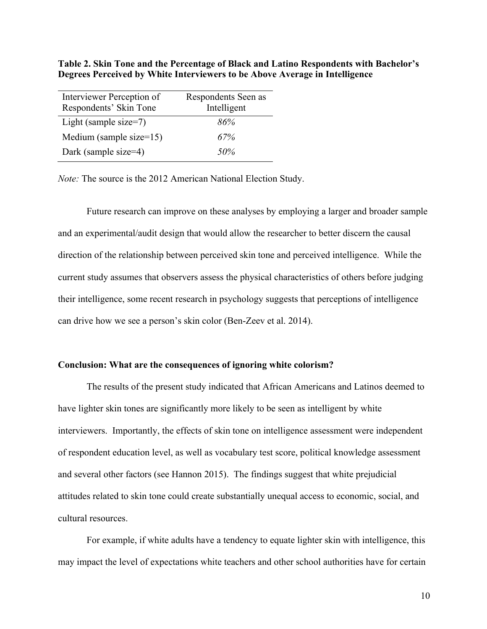**Table 2. Skin Tone and the Percentage of Black and Latino Respondents with Bachelor's Degrees Perceived by White Interviewers to be Above Average in Intelligence**

| Interviewer Perception of<br>Respondents' Skin Tone | Respondents Seen as<br>Intelligent |
|-----------------------------------------------------|------------------------------------|
| Light (sample size=7)                               | 86%                                |
| Medium (sample size= $15$ )                         | 67%                                |
| Dark (sample size=4)                                | 50%                                |

*Note:* The source is the 2012 American National Election Study.

Future research can improve on these analyses by employing a larger and broader sample and an experimental/audit design that would allow the researcher to better discern the causal direction of the relationship between perceived skin tone and perceived intelligence. While the current study assumes that observers assess the physical characteristics of others before judging their intelligence, some recent research in psychology suggests that perceptions of intelligence can drive how we see a person's skin color (Ben-Zeev et al. 2014).

# **Conclusion: What are the consequences of ignoring white colorism?**

The results of the present study indicated that African Americans and Latinos deemed to have lighter skin tones are significantly more likely to be seen as intelligent by white interviewers. Importantly, the effects of skin tone on intelligence assessment were independent of respondent education level, as well as vocabulary test score, political knowledge assessment and several other factors (see Hannon 2015). The findings suggest that white prejudicial attitudes related to skin tone could create substantially unequal access to economic, social, and cultural resources.

For example, if white adults have a tendency to equate lighter skin with intelligence, this may impact the level of expectations white teachers and other school authorities have for certain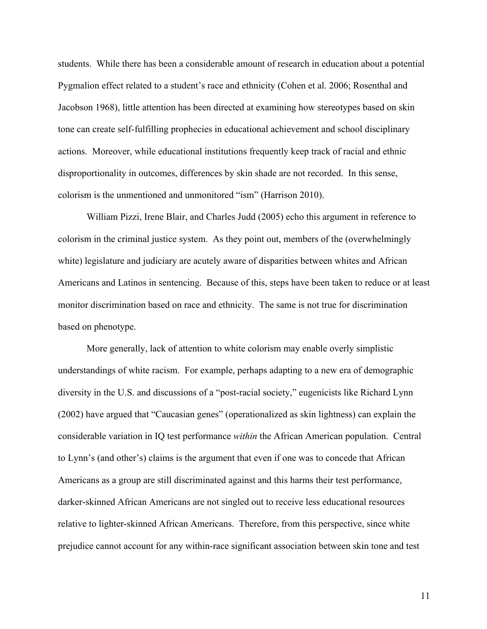students. While there has been a considerable amount of research in education about a potential Pygmalion effect related to a student's race and ethnicity (Cohen et al. 2006; Rosenthal and Jacobson 1968), little attention has been directed at examining how stereotypes based on skin tone can create self-fulfilling prophecies in educational achievement and school disciplinary actions. Moreover, while educational institutions frequently keep track of racial and ethnic disproportionality in outcomes, differences by skin shade are not recorded. In this sense, colorism is the unmentioned and unmonitored "ism" (Harrison 2010).

William Pizzi, Irene Blair, and Charles Judd (2005) echo this argument in reference to colorism in the criminal justice system. As they point out, members of the (overwhelmingly white) legislature and judiciary are acutely aware of disparities between whites and African Americans and Latinos in sentencing. Because of this, steps have been taken to reduce or at least monitor discrimination based on race and ethnicity. The same is not true for discrimination based on phenotype.

More generally, lack of attention to white colorism may enable overly simplistic understandings of white racism. For example, perhaps adapting to a new era of demographic diversity in the U.S. and discussions of a "post-racial society," eugenicists like Richard Lynn (2002) have argued that "Caucasian genes" (operationalized as skin lightness) can explain the considerable variation in IQ test performance *within* the African American population. Central to Lynn's (and other's) claims is the argument that even if one was to concede that African Americans as a group are still discriminated against and this harms their test performance, darker-skinned African Americans are not singled out to receive less educational resources relative to lighter-skinned African Americans. Therefore, from this perspective, since white prejudice cannot account for any within-race significant association between skin tone and test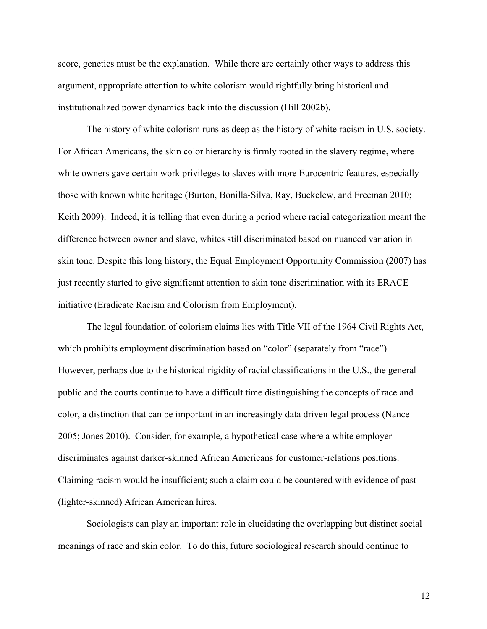score, genetics must be the explanation. While there are certainly other ways to address this argument, appropriate attention to white colorism would rightfully bring historical and institutionalized power dynamics back into the discussion (Hill 2002b).

The history of white colorism runs as deep as the history of white racism in U.S. society. For African Americans, the skin color hierarchy is firmly rooted in the slavery regime, where white owners gave certain work privileges to slaves with more Eurocentric features, especially those with known white heritage (Burton, Bonilla-Silva, Ray, Buckelew, and Freeman 2010; Keith 2009). Indeed, it is telling that even during a period where racial categorization meant the difference between owner and slave, whites still discriminated based on nuanced variation in skin tone. Despite this long history, the Equal Employment Opportunity Commission (2007) has just recently started to give significant attention to skin tone discrimination with its ERACE initiative (Eradicate Racism and Colorism from Employment).

The legal foundation of colorism claims lies with Title VII of the 1964 Civil Rights Act, which prohibits employment discrimination based on "color" (separately from "race"). However, perhaps due to the historical rigidity of racial classifications in the U.S., the general public and the courts continue to have a difficult time distinguishing the concepts of race and color, a distinction that can be important in an increasingly data driven legal process (Nance 2005; Jones 2010). Consider, for example, a hypothetical case where a white employer discriminates against darker-skinned African Americans for customer-relations positions. Claiming racism would be insufficient; such a claim could be countered with evidence of past (lighter-skinned) African American hires.

Sociologists can play an important role in elucidating the overlapping but distinct social meanings of race and skin color. To do this, future sociological research should continue to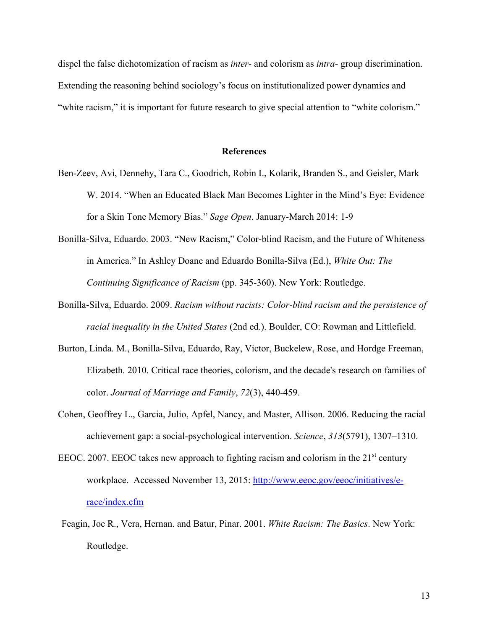dispel the false dichotomization of racism as *inter-* and colorism as *intra-* group discrimination. Extending the reasoning behind sociology's focus on institutionalized power dynamics and "white racism," it is important for future research to give special attention to "white colorism."

#### **References**

- Ben-Zeev, Avi, Dennehy, Tara C., Goodrich, Robin I., Kolarik, Branden S., and Geisler, Mark W. 2014. "When an Educated Black Man Becomes Lighter in the Mind's Eye: Evidence for a Skin Tone Memory Bias." *Sage Open*. January-March 2014: 1-9
- Bonilla-Silva, Eduardo. 2003. "New Racism," Color-blind Racism, and the Future of Whiteness in America." In Ashley Doane and Eduardo Bonilla-Silva (Ed.), *White Out: The Continuing Significance of Racism* (pp. 345-360). New York: Routledge.
- Bonilla-Silva, Eduardo. 2009. *Racism without racists: Color-blind racism and the persistence of racial inequality in the United States* (2nd ed.). Boulder, CO: Rowman and Littlefield.
- Burton, Linda. M., Bonilla-Silva, Eduardo, Ray, Victor, Buckelew, Rose, and Hordge Freeman, Elizabeth. 2010. Critical race theories, colorism, and the decade's research on families of color. *Journal of Marriage and Family*, *72*(3), 440-459.
- Cohen, Geoffrey L., Garcia, Julio, Apfel, Nancy, and Master, Allison. 2006. Reducing the racial achievement gap: a social-psychological intervention. *Science*, *313*(5791), 1307–1310.
- EEOC. 2007. EEOC takes new approach to fighting racism and colorism in the  $21<sup>st</sup>$  century workplace. Accessed November 13, 2015: [http://www.eeoc.gov/eeoc/initiatives/e](http://www.eeoc.gov/eeoc/initiatives/e-race/index.cfm)[race/index.cfm](http://www.eeoc.gov/eeoc/initiatives/e-race/index.cfm)
- Feagin, Joe R., Vera, Hernan. and Batur, Pinar. 2001. *White Racism: The Basics*. New York: Routledge.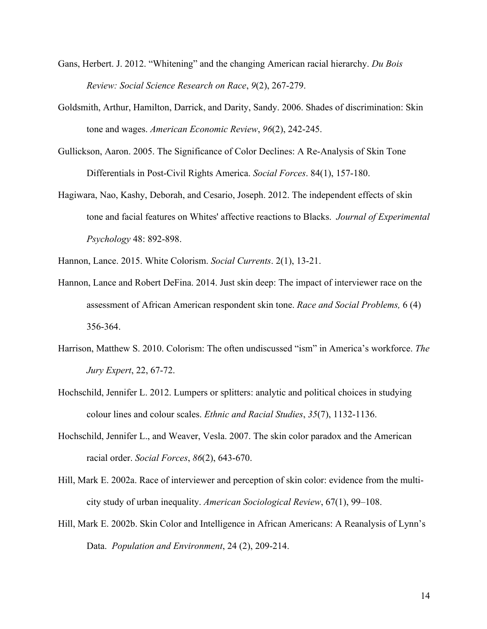- [Gans](http://www.mitpressjournals.org/action/doSearch?action=runSearch&type=advanced&result=true&prevSearch=%2Bauthorsfield%3A(gans%2C+herbert+j.)), Herbert. J. 2012. "Whitening" and the changing American racial hierarchy. *Du Bois Review: Social Science Research on Race*, *9*(2), 267-279.
- Goldsmith, Arthur, Hamilton, Darrick, and Darity, Sandy. 2006. Shades of discrimination: Skin tone and wages. *American Economic Review*, *96*(2), 242-245.
- Gullickson, Aaron. 2005. The Significance of Color Declines: A Re-Analysis of Skin Tone Differentials in Post-Civil Rights America. *Social Forces*. 84(1), 157-180.
- Hagiwara, Nao, Kashy, Deborah, and Cesario, Joseph. 2012. The independent effects of skin tone and facial features on Whites' affective reactions to Blacks. *Journal of Experimental Psychology* 48: 892-898.

Hannon, Lance. 2015. White Colorism. *Social Currents*. 2(1), 13-21.

- Hannon, Lance and Robert DeFina. 2014. Just skin deep: The impact of interviewer race on the assessment of African American respondent skin tone. *Race and Social Problems,* 6 (4) 356-364.
- Harrison, Matthew S. 2010. Colorism: The often undiscussed "ism" in America's workforce. *The Jury Expert*, 22, 67-72.
- Hochschild, Jennifer L. 2012. Lumpers or splitters: analytic and political choices in studying colour lines and colour scales. *Ethnic and Racial Studies*, *35*(7), 1132-1136.
- Hochschild, Jennifer L., and Weaver, Vesla. 2007. The skin color paradox and the American racial order. *Social Forces*, *86*(2), 643-670.
- Hill, Mark E. 2002a. Race of interviewer and perception of skin color: evidence from the multicity study of urban inequality. *American Sociological Review*, 67(1), 99–108.
- Hill, Mark E. 2002b. Skin Color and Intelligence in African Americans: A Reanalysis of Lynn's Data. *Population and Environment*, 24 (2), 209-214.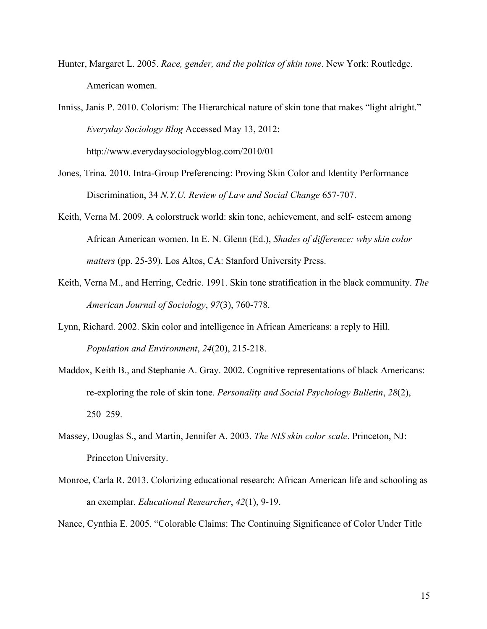Hunter, Margaret L. 2005. *Race, gender, and the politics of skin tone*. New York: Routledge. American women.

Inniss, Janis P. 2010. Colorism: The Hierarchical nature of skin tone that makes "light alright." *Everyday Sociology Blog* Accessed May 13, 2012: http://www.everydaysociologyblog.com/2010/01

- Jones, Trina. 2010. [Intra-Group Preferencing: Proving Skin Color and Identity Performance](http://scholarship.law.duke.edu/faculty_scholarship/2335) [Discrimination](http://scholarship.law.duke.edu/faculty_scholarship/2335), 34 *N.Y.U. Review of Law and Social Change* 657-707.
- Keith, Verna M. 2009. A colorstruck world: skin tone, achievement, and self- esteem among African American women. In E. N. Glenn (Ed.), *Shades of difference: why skin color matters* (pp. 25-39). Los Altos, CA: Stanford University Press.
- Keith, Verna M., and Herring, Cedric. 1991. Skin tone stratification in the black community. *The American Journal of Sociology*, *97*(3), 760-778.
- Lynn, Richard. 2002. Skin color and intelligence in African Americans: a reply to Hill. *Population and Environment*, *24*(20), 215-218.
- Maddox, Keith B., and Stephanie A. Gray. 2002. Cognitive representations of black Americans: re-exploring the role of skin tone. *Personality and Social Psychology Bulletin*, *28*(2), 250–259.
- Massey, Douglas S., and Martin, Jennifer A. 2003. *The NIS skin color scale*. Princeton, NJ: Princeton University.
- Monroe, Carla R. 2013. Colorizing educational research: African American life and schooling as an exemplar. *Educational Researcher*, *42*(1), 9-19.

Nance, Cynthia E. 2005. "Colorable Claims: The Continuing Significance of Color Under Title